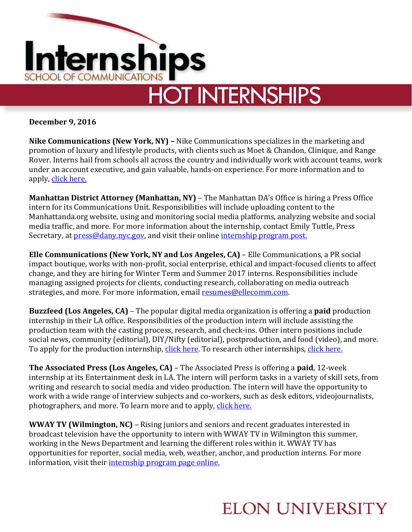

**December 9, 2016**

**Nike Communications (New York, NY) –** Nike Communications specializes in the marketing and promotion of luxury and lifestyle products, with clients such as Moet & Chandon, Clinique, and Range Rover. Interns hail from schools all across the country and individually work with account teams, work under an account executive, and gain valuable, hands-on experience. For more information and to apply, [click here.](http://www.nikecomm.com/internship)

**Manhattan District Attorney (Manhattan, NY)** – The Manhattan DA's Office is hiring a Press Office intern for its Communications Unit. Responsibilities will include uploading content to the Manhattanda.org website, using and monitoring social media platforms, analyzing website and social media traffic, and more. For more information about the internship, contact Emily Tuttle, Press Secretary, at **press@dany.nyc.gov**, and visit their online *internship program post.* 

**Elle Communications (New York, NY and Los Angeles, CA)** – Elle Communications, a PR social impact boutique, works with non-profit, social enterprise, ethical and impact-focused clients to affect change, and they are hiring for Winter Term and Summer 2017 interns. Responsibilities include managing assigned projects for clients, conducting research, collaborating on media outreach strategies, and more. For more information, email [resumes@ellecomm.com.](mailto:resumes@ellecomm.com) 

**Buzzfeed (Los Angeles, CA)** – The popular digital media organization is offering a **paid** production internship in their LA office. Responsibilities of the production intern will include assisting the production team with the casting process, research, and check-ins. Other intern positions include social news, community (editorial), DIY/Nifty (editorial), postproduction, and food (video), and more. To apply for the production internship, [click here.](https://www.buzzfeed.com/about/jobs) To research other internships, click here.

**The Associated Press (Los Angeles, CA)** – The Associated Press is offering a **paid**, 12-week internship at its Entertainment desk in LA. The intern will perform tasks in a variety of skill sets, from writing and research to social media and video production. The intern will have the opportunity to work with a wide range of interview subjects and co-workers, such as desk editors, videojournalists, photographers, and more. To learn more and to apply, [click here.](http://chp.tbe.taleo.net/chp04/ats/careers/requisition.jsp?org=AP&cws=1&rid=5018&source=Indeed)

**WWAY TV (Wilmington, NC)** – Rising juniors and seniors and recent graduates interested in broadcast television have the opportunity to intern with WWAY TV in Wilmington this summer, working in the News Department and learning the different roles within it. WWAY TV has opportunities for reporter, social media, web, weather, anchor, and production interns. For more information, visit thei[r internship program page online.](http://www.wwaytv3.com/wway-internship-program/)

## **ELON UNIVERSITY**